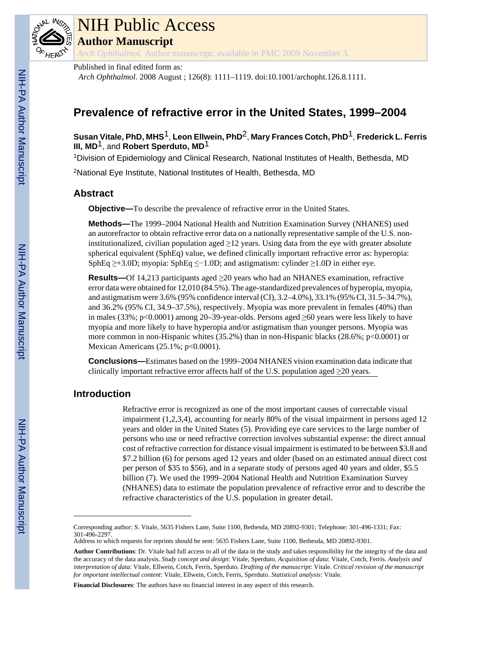

## NIH Public Access

**Author Manuscript**

*Arch Ophthalmol*. Author manuscript; available in PMC 2009 November 3.

Published in final edited form as:

*Arch Ophthalmol*. 2008 August ; 126(8): 1111–1119. doi:10.1001/archopht.126.8.1111.

## **Prevalence of refractive error in the United States, 1999–2004**

**Susan Vitale, PhD, MHS**1, **Leon Ellwein, PhD**2, **Mary Frances Cotch, PhD**1, **Frederick L. Ferris III, MD**1, and **Robert Sperduto, MD**1

<sup>1</sup>Division of Epidemiology and Clinical Research, National Institutes of Health, Bethesda, MD

<sup>2</sup>National Eye Institute, National Institutes of Health, Bethesda, MD

## **Abstract**

**Objective—**To describe the prevalence of refractive error in the United States.

**Methods—**The 1999–2004 National Health and Nutrition Examination Survey (NHANES) used an autorefractor to obtain refractive error data on a nationally representative sample of the U.S. noninstitutionalized, civilian population aged  $\geq$ 12 years. Using data from the eye with greater absolute spherical equivalent (SphEq) value, we defined clinically important refractive error as: hyperopia: SphEq  $\geq$ +3.0D; myopia: SphEq  $\leq$ −1.0D; and astigmatism: cylinder  $\geq$ 1.0D in either eye.

**Results—**Of 14,213 participants aged ≥20 years who had an NHANES examination, refractive error data were obtained for 12,010 (84.5%). The age-standardized prevalences of hyperopia, myopia, and astigmatism were 3.6% (95% confidence interval (CI), 3.2–4.0%), 33.1% (95% CI, 31.5–34.7%), and 36.2% (95% CI, 34.9–37.5%), respectively. Myopia was more prevalent in females (40%) than in males (33%; p<0.0001) among 20–39-year-olds. Persons aged  $\geq$ 60 years were less likely to have myopia and more likely to have hyperopia and/or astigmatism than younger persons. Myopia was more common in non-Hispanic whites  $(35.2%)$  than in non-Hispanic blacks  $(28.6%)$ ; p<0.0001) or Mexican Americans (25.1%; p<0.0001).

**Conclusions—**Estimates based on the 1999–2004 NHANES vision examination data indicate that clinically important refractive error affects half of the U.S. population aged  $\geq$ 20 years.

### **Introduction**

Refractive error is recognized as one of the most important causes of correctable visual impairment (1,2,3,4), accounting for nearly 80% of the visual impairment in persons aged 12 years and older in the United States (5). Providing eye care services to the large number of persons who use or need refractive correction involves substantial expense: the direct annual cost of refractive correction for distance visual impairment is estimated to be between \$3.8 and \$7.2 billion (6) for persons aged 12 years and older (based on an estimated annual direct cost per person of \$35 to \$56), and in a separate study of persons aged 40 years and older, \$5.5 billion (7). We used the 1999–2004 National Health and Nutrition Examination Survey (NHANES) data to estimate the population prevalence of refractive error and to describe the refractive characteristics of the U.S. population in greater detail.

**Financial Disclosures**: The authors have no financial interest in any aspect of this research.

Corresponding author: S. Vitale, 5635 Fishers Lane, Suite 1100, Bethesda, MD 20892-9301; Telephone: 301-496-1331; Fax: 301-496-2297.

Address to which requests for reprints should be sent: 5635 Fishers Lane, Suite 1100, Bethesda, MD 20892-9301.

**Author Contributions**: Dr. Vitale had full access to all of the data in the study and takes responsibility for the integrity of the data and the accuracy of the data analysis. *Study concept and design*: Vitale, Sperduto. *Acquisition of data*: Vitale, Cotch, Ferris. *Analysis and interpretation of data*: Vitale, Ellwein, Cotch, Ferris, Sperduto. *Drafting of the manuscript*: Vitale. *Critical revision of the manuscript for important intellectual content*: Vitale, Ellwein, Cotch, Ferris, Sperduto. *Statistical analysis*: Vitale.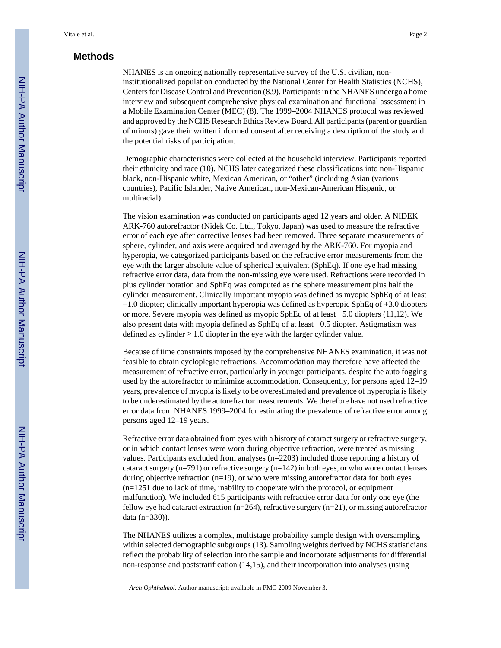#### **Methods**

NHANES is an ongoing nationally representative survey of the U.S. civilian, noninstitutionalized population conducted by the National Center for Health Statistics (NCHS), Centers for Disease Control and Prevention (8,9). Participants in the NHANES undergo a home interview and subsequent comprehensive physical examination and functional assessment in a Mobile Examination Center (MEC) (8). The 1999–2004 NHANES protocol was reviewed and approved by the NCHS Research Ethics Review Board. All participants (parent or guardian of minors) gave their written informed consent after receiving a description of the study and the potential risks of participation.

Demographic characteristics were collected at the household interview. Participants reported their ethnicity and race (10). NCHS later categorized these classifications into non-Hispanic black, non-Hispanic white, Mexican American, or "other" (including Asian (various countries), Pacific Islander, Native American, non-Mexican-American Hispanic, or multiracial).

The vision examination was conducted on participants aged 12 years and older. A NIDEK ARK-760 autorefractor (Nidek Co. Ltd., Tokyo, Japan) was used to measure the refractive error of each eye after corrective lenses had been removed. Three separate measurements of sphere, cylinder, and axis were acquired and averaged by the ARK-760. For myopia and hyperopia, we categorized participants based on the refractive error measurements from the eye with the larger absolute value of spherical equivalent (SphEq). If one eye had missing refractive error data, data from the non-missing eye were used. Refractions were recorded in plus cylinder notation and SphEq was computed as the sphere measurement plus half the cylinder measurement. Clinically important myopia was defined as myopic SphEq of at least −1.0 diopter; clinically important hyperopia was defined as hyperopic SphEq of +3.0 diopters or more. Severe myopia was defined as myopic SphEq of at least −5.0 diopters (11,12). We also present data with myopia defined as SphEq of at least −0.5 diopter. Astigmatism was defined as cylinder  $\geq 1.0$  diopter in the eye with the larger cylinder value.

Because of time constraints imposed by the comprehensive NHANES examination, it was not feasible to obtain cycloplegic refractions. Accommodation may therefore have affected the measurement of refractive error, particularly in younger participants, despite the auto fogging used by the autorefractor to minimize accommodation. Consequently, for persons aged 12–19 years, prevalence of myopia is likely to be overestimated and prevalence of hyperopia is likely to be underestimated by the autorefractor measurements. We therefore have not used refractive error data from NHANES 1999–2004 for estimating the prevalence of refractive error among persons aged 12–19 years.

Refractive error data obtained from eyes with a history of cataract surgery or refractive surgery, or in which contact lenses were worn during objective refraction, were treated as missing values. Participants excluded from analyses (n=2203) included those reporting a history of cataract surgery (n=791) or refractive surgery (n=142) in both eyes, or who wore contact lenses during objective refraction  $(n=19)$ , or who were missing autorefractor data for both eyes (n=1251 due to lack of time, inability to cooperate with the protocol, or equipment malfunction). We included 615 participants with refractive error data for only one eye (the fellow eye had cataract extraction ( $n=264$ ), refractive surgery ( $n=21$ ), or missing autorefractor data (n=330)).

The NHANES utilizes a complex, multistage probability sample design with oversampling within selected demographic subgroups (13). Sampling weights derived by NCHS statisticians reflect the probability of selection into the sample and incorporate adjustments for differential non-response and poststratification (14,15), and their incorporation into analyses (using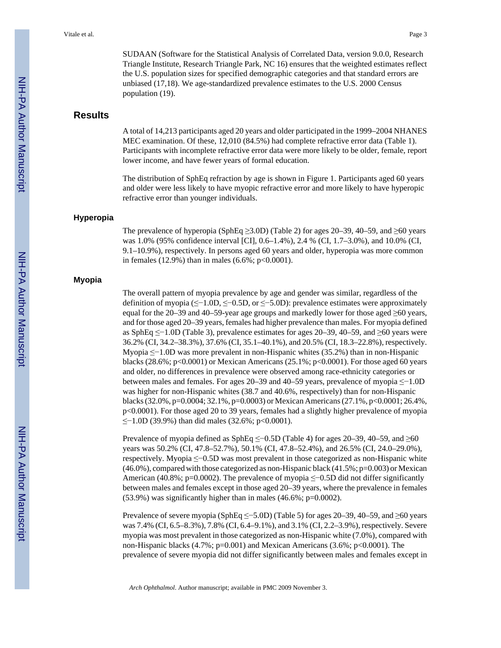SUDAAN (Software for the Statistical Analysis of Correlated Data, version 9.0.0, Research Triangle Institute, Research Triangle Park, NC 16) ensures that the weighted estimates reflect the U.S. population sizes for specified demographic categories and that standard errors are unbiased (17,18). We age-standardized prevalence estimates to the U.S. 2000 Census population (19).

#### **Results**

A total of 14,213 participants aged 20 years and older participated in the 1999–2004 NHANES MEC examination. Of these, 12,010 (84.5%) had complete refractive error data (Table 1). Participants with incomplete refractive error data were more likely to be older, female, report lower income, and have fewer years of formal education.

The distribution of SphEq refraction by age is shown in Figure 1. Participants aged 60 years and older were less likely to have myopic refractive error and more likely to have hyperopic refractive error than younger individuals.

#### **Hyperopia**

The prevalence of hyperopia (SphEq  $\geq$ 3.0D) (Table 2) for ages 20–39, 40–59, and  $\geq$ 60 years was 1.0% (95% confidence interval [CI], 0.6–1.4%), 2.4 % (CI, 1.7–3.0%), and 10.0% (CI, 9.1–10.9%), respectively. In persons aged 60 years and older, hyperopia was more common in females  $(12.9\%)$  than in males  $(6.6\%; p<0.0001)$ .

#### **Myopia**

The overall pattern of myopia prevalence by age and gender was similar, regardless of the definition of myopia (≤−1.0D, ≤−0.5D, or ≤−5.0D): prevalence estimates were approximately equal for the 20–39 and 40–59-year age groups and markedly lower for those aged  $\geq 60$  years, and for those aged 20–39 years, females had higher prevalence than males. For myopia defined as SphEq ≤−1.0D (Table 3), prevalence estimates for ages 20–39, 40–59, and ≥60 years were 36.2% (CI, 34.2–38.3%), 37.6% (CI, 35.1–40.1%), and 20.5% (CI, 18.3–22.8%), respectively. Myopia ≤−1.0D was more prevalent in non-Hispanic whites (35.2%) than in non-Hispanic blacks (28.6%;  $p<0.0001$ ) or Mexican Americans (25.1%;  $p<0.0001$ ). For those aged 60 years and older, no differences in prevalence were observed among race-ethnicity categories or between males and females. For ages 20–39 and 40–59 years, prevalence of myopia ≤−1.0D was higher for non-Hispanic whites (38.7 and 40.6%, respectively) than for non-Hispanic blacks (32.0%, p=0.0004; 32.1%, p=0.0003) or Mexican Americans (27.1%, p<0.0001; 26.4%, p<0.0001). For those aged 20 to 39 years, females had a slightly higher prevalence of myopia ≤−1.0D (39.9%) than did males (32.6%; p<0.0001).

Prevalence of myopia defined as SphEq ≤−0.5D (Table 4) for ages 20–39, 40–59, and ≥60 years was 50.2% (CI, 47.8–52.7%), 50.1% (CI, 47.8–52.4%), and 26.5% (CI, 24.0–29.0%), respectively. Myopia ≤−0.5D was most prevalent in those categorized as non-Hispanic white  $(46.0\%)$ , compared with those categorized as non-Hispanic black  $(41.5\%; p=0.003)$  or Mexican American (40.8%; p=0.0002). The prevalence of myopia ≤−0.5D did not differ significantly between males and females except in those aged 20–39 years, where the prevalence in females (53.9%) was significantly higher than in males (46.6%; p=0.0002).

Prevalence of severe myopia (SphEq ≤−5.0D) (Table 5) for ages 20–39, 40–59, and ≥60 years was 7.4% (CI, 6.5–8.3%), 7.8% (CI, 6.4–9.1%), and 3.1% (CI, 2.2–3.9%), respectively. Severe myopia was most prevalent in those categorized as non-Hispanic white (7.0%), compared with non-Hispanic blacks (4.7%; p=0.001) and Mexican Americans (3.6%; p<0.0001). The prevalence of severe myopia did not differ significantly between males and females except in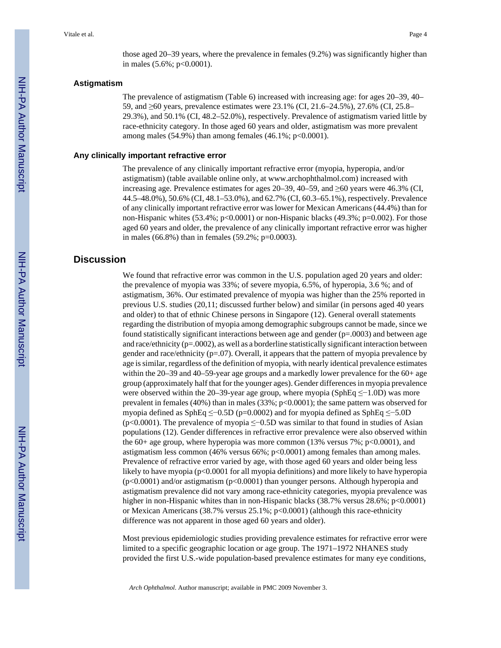those aged 20–39 years, where the prevalence in females (9.2%) was significantly higher than in males  $(5.6\%; p<0.0001)$ .

#### **Astigmatism**

The prevalence of astigmatism (Table 6) increased with increasing age: for ages 20–39, 40– 59, and ≥60 years, prevalence estimates were 23.1% (CI, 21.6–24.5%), 27.6% (CI, 25.8– 29.3%), and 50.1% (CI, 48.2–52.0%), respectively. Prevalence of astigmatism varied little by race-ethnicity category. In those aged 60 years and older, astigmatism was more prevalent among males (54.9%) than among females (46.1%;  $p<0.0001$ ).

#### **Any clinically important refractive error**

The prevalence of any clinically important refractive error (myopia, hyperopia, and/or astigmatism) (table available online only, at [www.archophthalmol.com\)](http://www.archophthalmol.com) increased with increasing age. Prevalence estimates for ages 20–39, 40–59, and ≥60 years were 46.3% (CI, 44.5–48.0%), 50.6% (CI, 48.1–53.0%), and 62.7% (CI, 60.3–65.1%), respectively. Prevalence of any clinically important refractive error was lower for Mexican Americans (44.4%) than for non-Hispanic whites  $(53.4\%; p<0.0001)$  or non-Hispanic blacks  $(49.3\%; p=0.002)$ . For those aged 60 years and older, the prevalence of any clinically important refractive error was higher in males (66.8%) than in females (59.2%; p=0.0003).

#### **Discussion**

We found that refractive error was common in the U.S. population aged 20 years and older: the prevalence of myopia was 33%; of severe myopia, 6.5%, of hyperopia, 3.6 %; and of astigmatism, 36%. Our estimated prevalence of myopia was higher than the 25% reported in previous U.S. studies (20,11; discussed further below) and similar (in persons aged 40 years and older) to that of ethnic Chinese persons in Singapore (12). General overall statements regarding the distribution of myopia among demographic subgroups cannot be made, since we found statistically significant interactions between age and gender  $(p=.0003)$  and between age and race/ethnicity  $(p=.0002)$ , as well as a borderline statistically significant interaction between gender and race/ethnicity  $(p=07)$ . Overall, it appears that the pattern of myopia prevalence by age is similar, regardless of the definition of myopia, with nearly identical prevalence estimates within the 20–39 and 40–59-year age groups and a markedly lower prevalence for the 60+ age group (approximately half that for the younger ages). Gender differences in myopia prevalence were observed within the 20–39-year age group, where myopia (SphEq ≤−1.0D) was more prevalent in females (40%) than in males (33%; p<0.0001); the same pattern was observed for myopia defined as SphEq ≤−0.5D (p=0.0002) and for myopia defined as SphEq ≤−5.0D (p<0.0001). The prevalence of myopia ≤−0.5D was similar to that found in studies of Asian populations (12). Gender differences in refractive error prevalence were also observed within the 60+ age group, where hyperopia was more common  $(13\%$  versus 7%; p<0.0001), and astigmatism less common (46% versus 66%; p<0.0001) among females than among males. Prevalence of refractive error varied by age, with those aged 60 years and older being less likely to have myopia (p<0.0001 for all myopia definitions) and more likely to have hyperopia (p<0.0001) and/or astigmatism (p<0.0001) than younger persons. Although hyperopia and astigmatism prevalence did not vary among race-ethnicity categories, myopia prevalence was higher in non-Hispanic whites than in non-Hispanic blacks (38.7% versus 28.6%; p<0.0001) or Mexican Americans (38.7% versus 25.1%; p<0.0001) (although this race-ethnicity difference was not apparent in those aged 60 years and older).

Most previous epidemiologic studies providing prevalence estimates for refractive error were limited to a specific geographic location or age group. The 1971–1972 NHANES study provided the first U.S.-wide population-based prevalence estimates for many eye conditions,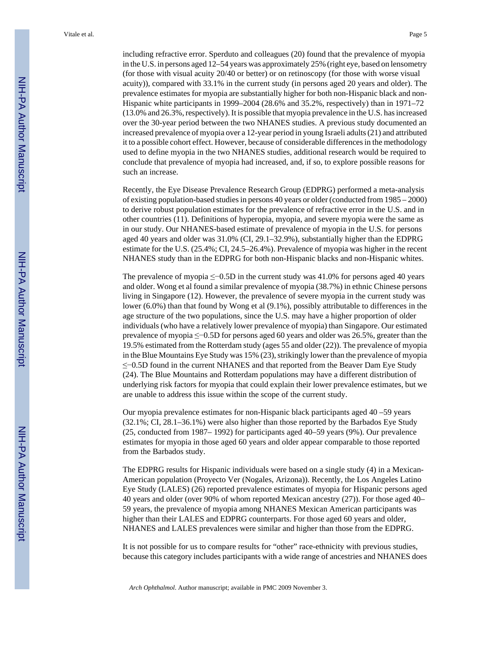including refractive error. Sperduto and colleagues (20) found that the prevalence of myopia in the U.S. in persons aged 12–54 years was approximately 25% (right eye, based on lensometry (for those with visual acuity 20/40 or better) or on retinoscopy (for those with worse visual acuity)), compared with 33.1% in the current study (in persons aged 20 years and older). The prevalence estimates for myopia are substantially higher for both non-Hispanic black and non-Hispanic white participants in 1999–2004 (28.6% and 35.2%, respectively) than in 1971–72 (13.0% and 26.3%, respectively). It is possible that myopia prevalence in the U.S. has increased over the 30-year period between the two NHANES studies. A previous study documented an increased prevalence of myopia over a 12-year period in young Israeli adults (21) and attributed it to a possible cohort effect. However, because of considerable differences in the methodology used to define myopia in the two NHANES studies, additional research would be required to conclude that prevalence of myopia had increased, and, if so, to explore possible reasons for such an increase.

Recently, the Eye Disease Prevalence Research Group (EDPRG) performed a meta-analysis of existing population-based studies in persons 40 years or older (conducted from 1985 – 2000) to derive robust population estimates for the prevalence of refractive error in the U.S. and in other countries (11). Definitions of hyperopia, myopia, and severe myopia were the same as in our study. Our NHANES-based estimate of prevalence of myopia in the U.S. for persons aged 40 years and older was 31.0% (CI, 29.1–32.9%), substantially higher than the EDPRG estimate for the U.S. (25.4%; CI, 24.5–26.4%). Prevalence of myopia was higher in the recent NHANES study than in the EDPRG for both non-Hispanic blacks and non-Hispanic whites.

The prevalence of myopia ≤−0.5D in the current study was 41.0% for persons aged 40 years and older. Wong et al found a similar prevalence of myopia (38.7%) in ethnic Chinese persons living in Singapore (12). However, the prevalence of severe myopia in the current study was lower (6.0%) than that found by Wong et al (9.1%), possibly attributable to differences in the age structure of the two populations, since the U.S. may have a higher proportion of older individuals (who have a relatively lower prevalence of myopia) than Singapore. Our estimated prevalence of myopia ≤−0.5D for persons aged 60 years and older was 26.5%, greater than the 19.5% estimated from the Rotterdam study (ages 55 and older (22)). The prevalence of myopia in the Blue Mountains Eye Study was 15% (23), strikingly lower than the prevalence of myopia ≤−0.5D found in the current NHANES and that reported from the Beaver Dam Eye Study (24). The Blue Mountains and Rotterdam populations may have a different distribution of underlying risk factors for myopia that could explain their lower prevalence estimates, but we are unable to address this issue within the scope of the current study.

Our myopia prevalence estimates for non-Hispanic black participants aged 40 –59 years (32.1%; CI, 28.1–36.1%) were also higher than those reported by the Barbados Eye Study (25, conducted from 1987– 1992) for participants aged 40–59 years (9%). Our prevalence estimates for myopia in those aged 60 years and older appear comparable to those reported from the Barbados study.

The EDPRG results for Hispanic individuals were based on a single study (4) in a Mexican-American population (Proyecto Ver (Nogales, Arizona)). Recently, the Los Angeles Latino Eye Study (LALES) (26) reported prevalence estimates of myopia for Hispanic persons aged 40 years and older (over 90% of whom reported Mexican ancestry (27)). For those aged 40– 59 years, the prevalence of myopia among NHANES Mexican American participants was higher than their LALES and EDPRG counterparts. For those aged 60 years and older, NHANES and LALES prevalences were similar and higher than those from the EDPRG.

It is not possible for us to compare results for "other" race-ethnicity with previous studies, because this category includes participants with a wide range of ancestries and NHANES does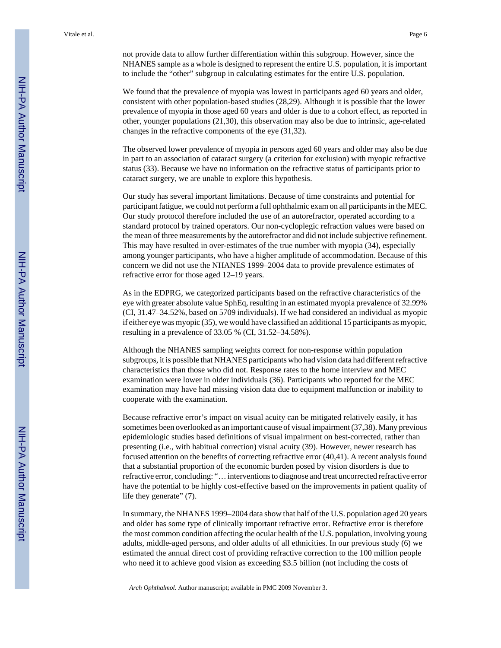not provide data to allow further differentiation within this subgroup. However, since the NHANES sample as a whole is designed to represent the entire U.S. population, it is important to include the "other" subgroup in calculating estimates for the entire U.S. population.

We found that the prevalence of myopia was lowest in participants aged 60 years and older, consistent with other population-based studies (28,29). Although it is possible that the lower prevalence of myopia in those aged 60 years and older is due to a cohort effect, as reported in other, younger populations (21,30), this observation may also be due to intrinsic, age-related changes in the refractive components of the eye (31,32).

The observed lower prevalence of myopia in persons aged 60 years and older may also be due in part to an association of cataract surgery (a criterion for exclusion) with myopic refractive status (33). Because we have no information on the refractive status of participants prior to cataract surgery, we are unable to explore this hypothesis.

Our study has several important limitations. Because of time constraints and potential for participant fatigue, we could not perform a full ophthalmic exam on all participants in the MEC. Our study protocol therefore included the use of an autorefractor, operated according to a standard protocol by trained operators. Our non-cycloplegic refraction values were based on the mean of three measurements by the autorefractor and did not include subjective refinement. This may have resulted in over-estimates of the true number with myopia (34), especially among younger participants, who have a higher amplitude of accommodation. Because of this concern we did not use the NHANES 1999–2004 data to provide prevalence estimates of refractive error for those aged 12–19 years.

As in the EDPRG, we categorized participants based on the refractive characteristics of the eye with greater absolute value SphEq, resulting in an estimated myopia prevalence of 32.99% (CI, 31.47–34.52%, based on 5709 individuals). If we had considered an individual as myopic if either eye was myopic (35), we would have classified an additional 15 participants as myopic, resulting in a prevalence of 33.05 % (CI, 31.52–34.58%).

Although the NHANES sampling weights correct for non-response within population subgroups, it is possible that NHANES participants who had vision data had different refractive characteristics than those who did not. Response rates to the home interview and MEC examination were lower in older individuals (36). Participants who reported for the MEC examination may have had missing vision data due to equipment malfunction or inability to cooperate with the examination.

Because refractive error's impact on visual acuity can be mitigated relatively easily, it has sometimes been overlooked as an important cause of visual impairment (37,38). Many previous epidemiologic studies based definitions of visual impairment on best-corrected, rather than presenting (i.e., with habitual correction) visual acuity (39). However, newer research has focused attention on the benefits of correcting refractive error (40,41). A recent analysis found that a substantial proportion of the economic burden posed by vision disorders is due to refractive error, concluding: "… interventions to diagnose and treat uncorrected refractive error have the potential to be highly cost-effective based on the improvements in patient quality of life they generate" (7).

In summary, the NHANES 1999–2004 data show that half of the U.S. population aged 20 years and older has some type of clinically important refractive error. Refractive error is therefore the most common condition affecting the ocular health of the U.S. population, involving young adults, middle-aged persons, and older adults of all ethnicities. In our previous study (6) we estimated the annual direct cost of providing refractive correction to the 100 million people who need it to achieve good vision as exceeding \$3.5 billion (not including the costs of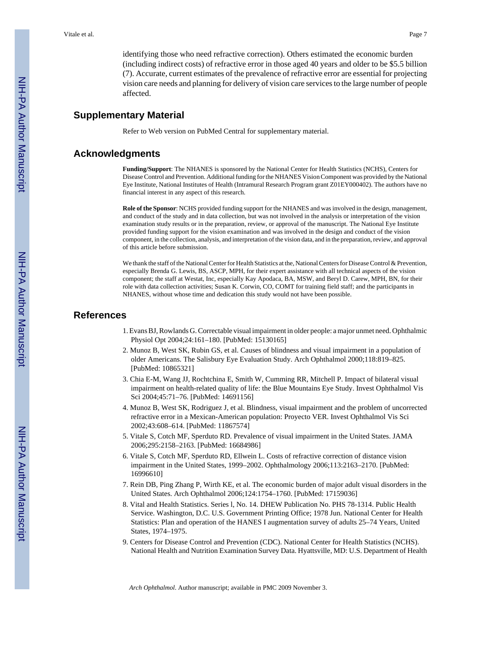identifying those who need refractive correction). Others estimated the economic burden (including indirect costs) of refractive error in those aged 40 years and older to be \$5.5 billion (7). Accurate, current estimates of the prevalence of refractive error are essential for projecting vision care needs and planning for delivery of vision care services to the large number of people affected.

#### **Supplementary Material**

Refer to Web version on PubMed Central for supplementary material.

#### **Acknowledgments**

**Funding/Support**: The NHANES is sponsored by the National Center for Health Statistics (NCHS), Centers for Disease Control and Prevention. Additional funding for the NHANES Vision Component was provided by the National Eye Institute, National Institutes of Health (Intramural Research Program grant Z01EY000402). The authors have no financial interest in any aspect of this research.

**Role of the Sponsor**: NCHS provided funding support for the NHANES and was involved in the design, management, and conduct of the study and in data collection, but was not involved in the analysis or interpretation of the vision examination study results or in the preparation, review, or approval of the manuscript. The National Eye Institute provided funding support for the vision examination and was involved in the design and conduct of the vision component, in the collection, analysis, and interpretation of the vision data, and in the preparation, review, and approval of this article before submission.

We thank the staff of the National Center for Health Statistics at the, National Centers for Disease Control & Prevention, especially Brenda G. Lewis, BS, ASCP, MPH, for their expert assistance with all technical aspects of the vision component; the staff at Westat, Inc, especially Kay Apodaca, BA, MSW, and Beryl D. Carew, MPH, BN, for their role with data collection activities; Susan K. Corwin, CO, COMT for training field staff; and the participants in NHANES, without whose time and dedication this study would not have been possible.

#### **References**

- 1. Evans BJ, Rowlands G. Correctable visual impairment in older people: a major unmet need. Ophthalmic Physiol Opt 2004;24:161–180. [PubMed: 15130165]
- 2. Munoz B, West SK, Rubin GS, et al. Causes of blindness and visual impairment in a population of older Americans. The Salisbury Eye Evaluation Study. Arch Ophthalmol 2000;118:819–825. [PubMed: 10865321]
- 3. Chia E-M, Wang JJ, Rochtchina E, Smith W, Cumming RR, Mitchell P. Impact of bilateral visual impairment on health-related quality of life: the Blue Mountains Eye Study. Invest Ophthalmol Vis Sci 2004;45:71–76. [PubMed: 14691156]
- 4. Munoz B, West SK, Rodriguez J, et al. Blindness, visual impairment and the problem of uncorrected refractive error in a Mexican-American population: Proyecto VER. Invest Ophthalmol Vis Sci 2002;43:608–614. [PubMed: 11867574]
- 5. Vitale S, Cotch MF, Sperduto RD. Prevalence of visual impairment in the United States. JAMA 2006;295:2158–2163. [PubMed: 16684986]
- 6. Vitale S, Cotch MF, Sperduto RD, Ellwein L. Costs of refractive correction of distance vision impairment in the United States, 1999–2002. Ophthalmology 2006;113:2163–2170. [PubMed: 16996610]
- 7. Rein DB, Ping Zhang P, Wirth KE, et al. The economic burden of major adult visual disorders in the United States. Arch Ophthalmol 2006;124:1754–1760. [PubMed: 17159036]
- 8. Vital and Health Statistics. Series l, No. 14. DHEW Publication No. PHS 78-1314. Public Health Service. Washington, D.C. U.S. Government Printing Office; 1978 Jun. National Center for Health Statistics: Plan and operation of the HANES I augmentation survey of adults 25–74 Years, United States, 1974–1975.
- 9. Centers for Disease Control and Prevention (CDC). National Center for Health Statistics (NCHS). National Health and Nutrition Examination Survey Data. Hyattsville, MD: U.S. Department of Health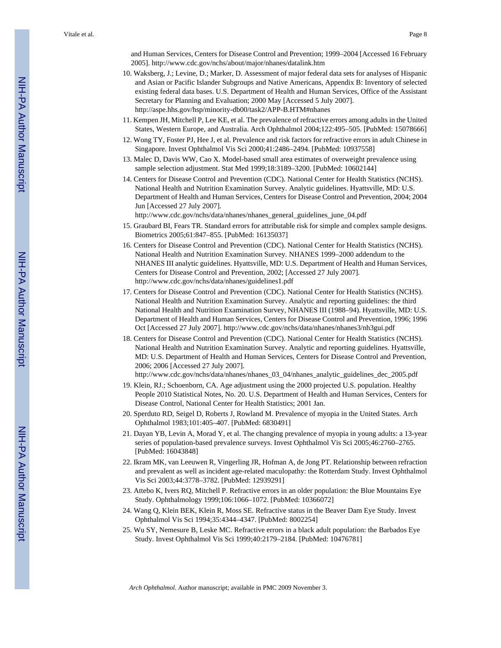and Human Services, Centers for Disease Control and Prevention; 1999–2004 [Accessed 16 February 2005].<http://www.cdc.gov/nchs/about/major/nhanes/datalink.htm>

- 10. Waksberg, J.; Levine, D.; Marker, D. Assessment of major federal data sets for analyses of Hispanic and Asian or Pacific Islander Subgroups and Native Americans, Appendix B: Inventory of selected existing federal data bases. U.S. Department of Health and Human Services, Office of the Assistant Secretary for Planning and Evaluation; 2000 May [Accessed 5 July 2007]. <http://aspe.hhs.gov/hsp/minority-db00/task2/APP-B.HTM#nhanes>
- 11. Kempen JH, Mitchell P, Lee KE, et al. The prevalence of refractive errors among adults in the United States, Western Europe, and Australia. Arch Ophthalmol 2004;122:495–505. [PubMed: 15078666]
- 12. Wong TY, Foster PJ, Hee J, et al. Prevalence and risk factors for refractive errors in adult Chinese in Singapore. Invest Ophthalmol Vis Sci 2000;41:2486–2494. [PubMed: 10937558]
- 13. Malec D, Davis WW, Cao X. Model-based small area estimates of overweight prevalence using sample selection adjustment. Stat Med 1999;18:3189–3200. [PubMed: 10602144]
- 14. Centers for Disease Control and Prevention (CDC). National Center for Health Statistics (NCHS). National Health and Nutrition Examination Survey. Analytic guidelines. Hyattsville, MD: U.S. Department of Health and Human Services, Centers for Disease Control and Prevention, 2004; 2004 Jun [Accessed 27 July 2007].

[http://www.cdc.gov/nchs/data/nhanes/nhanes\\_general\\_guidelines\\_june\\_04.pdf](http://www.cdc.gov/nchs/data/nhanes/nhanes_general_guidelines_june_04.pdf)

- 15. Graubard BI, Fears TR. Standard errors for attributable risk for simple and complex sample designs. Biometrics 2005;61:847–855. [PubMed: 16135037]
- 16. Centers for Disease Control and Prevention (CDC). National Center for Health Statistics (NCHS). National Health and Nutrition Examination Survey. NHANES 1999–2000 addendum to the NHANES III analytic guidelines. Hyattsville, MD: U.S. Department of Health and Human Services, Centers for Disease Control and Prevention, 2002; [Accessed 27 July 2007]. <http://www.cdc.gov/nchs/data/nhanes/guidelines1.pdf>
- 17. Centers for Disease Control and Prevention (CDC). National Center for Health Statistics (NCHS). National Health and Nutrition Examination Survey. Analytic and reporting guidelines: the third National Health and Nutrition Examination Survey, NHANES III (1988–94). Hyattsville, MD: U.S. Department of Health and Human Services, Centers for Disease Control and Prevention, 1996; 1996 Oct [Accessed 27 July 2007].<http://www.cdc.gov/nchs/data/nhanes/nhanes3/nh3gui.pdf>
- 18. Centers for Disease Control and Prevention (CDC). National Center for Health Statistics (NCHS). National Health and Nutrition Examination Survey. Analytic and reporting guidelines. Hyattsville, MD: U.S. Department of Health and Human Services, Centers for Disease Control and Prevention, 2006; 2006 [Accessed 27 July 2007].

[http://www.cdc.gov/nchs/data/nhanes/nhanes\\_03\\_04/nhanes\\_analytic\\_guidelines\\_dec\\_2005.pdf](http://www.cdc.gov/nchs/data/nhanes/nhanes_03_04/nhanes_analytic_guidelines_dec_2005.pdf)

- 19. Klein, RJ.; Schoenborn, CA. Age adjustment using the 2000 projected U.S. population. Healthy People 2010 Statistical Notes, No. 20. U.S. Department of Health and Human Services, Centers for Disease Control, National Center for Health Statistics; 2001 Jan.
- 20. Sperduto RD, Seigel D, Roberts J, Rowland M. Prevalence of myopia in the United States. Arch Ophthalmol 1983;101:405–407. [PubMed: 6830491]
- 21. Dayan YB, Levin A, Morad Y, et al. The changing prevalence of myopia in young adults: a 13-year series of population-based prevalence surveys. Invest Ophthalmol Vis Sci 2005;46:2760–2765. [PubMed: 16043848]
- 22. Ikram MK, van Leeuwen R, Vingerling JR, Hofman A, de Jong PT. Relationship between refraction and prevalent as well as incident age-related maculopathy: the Rotterdam Study. Invest Ophthalmol Vis Sci 2003;44:3778–3782. [PubMed: 12939291]
- 23. Attebo K, Ivers RQ, Mitchell P. Refractive errors in an older population: the Blue Mountains Eye Study. Ophthalmology 1999;106:1066–1072. [PubMed: 10366072]
- 24. Wang Q, Klein BEK, Klein R, Moss SE. Refractive status in the Beaver Dam Eye Study. Invest Ophthalmol Vis Sci 1994;35:4344–4347. [PubMed: 8002254]
- 25. Wu SY, Nemesure B, Leske MC. Refractive errors in a black adult population: the Barbados Eye Study. Invest Ophthalmol Vis Sci 1999;40:2179–2184. [PubMed: 10476781]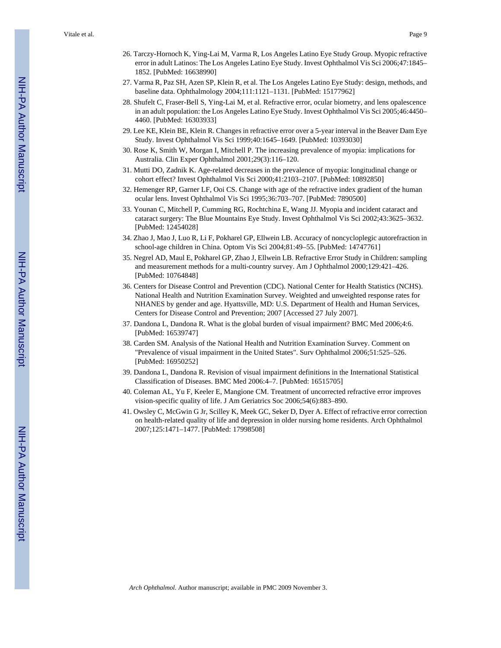- 26. Tarczy-Hornoch K, Ying-Lai M, Varma R, Los Angeles Latino Eye Study Group. Myopic refractive error in adult Latinos: The Los Angeles Latino Eye Study. Invest Ophthalmol Vis Sci 2006;47:1845– 1852. [PubMed: 16638990]
- 27. Varma R, Paz SH, Azen SP, Klein R, et al. The Los Angeles Latino Eye Study: design, methods, and baseline data. Ophthalmology 2004;111:1121–1131. [PubMed: 15177962]
- 28. Shufelt C, Fraser-Bell S, Ying-Lai M, et al. Refractive error, ocular biometry, and lens opalescence in an adult population: the Los Angeles Latino Eye Study. Invest Ophthalmol Vis Sci 2005;46:4450– 4460. [PubMed: 16303933]
- 29. Lee KE, Klein BE, Klein R. Changes in refractive error over a 5-year interval in the Beaver Dam Eye Study. Invest Ophthalmol Vis Sci 1999;40:1645–1649. [PubMed: 10393030]
- 30. Rose K, Smith W, Morgan I, Mitchell P. The increasing prevalence of myopia: implications for Australia. Clin Exper Ophthalmol 2001;29(3):116–120.
- 31. Mutti DO, Zadnik K. Age-related decreases in the prevalence of myopia: longitudinal change or cohort effect? Invest Ophthalmol Vis Sci 2000;41:2103–2107. [PubMed: 10892850]
- 32. Hemenger RP, Garner LF, Ooi CS. Change with age of the refractive index gradient of the human ocular lens. Invest Ophthalmol Vis Sci 1995;36:703–707. [PubMed: 7890500]
- 33. Younan C, Mitchell P, Cumming RG, Rochtchina E, Wang JJ. Myopia and incident cataract and cataract surgery: The Blue Mountains Eye Study. Invest Ophthalmol Vis Sci 2002;43:3625–3632. [PubMed: 12454028]
- 34. Zhao J, Mao J, Luo R, Li F, Pokharel GP, Ellwein LB. Accuracy of noncycloplegic autorefraction in school-age children in China. Optom Vis Sci 2004;81:49–55. [PubMed: 14747761]
- 35. Negrel AD, Maul E, Pokharel GP, Zhao J, Ellwein LB. Refractive Error Study in Children: sampling and measurement methods for a multi-country survey. Am J Ophthalmol 2000;129:421–426. [PubMed: 10764848]
- 36. Centers for Disease Control and Prevention (CDC). National Center for Health Statistics (NCHS). National Health and Nutrition Examination Survey. Weighted and unweighted response rates for NHANES by gender and age. Hyattsville, MD: U.S. Department of Health and Human Services, Centers for Disease Control and Prevention; 2007 [Accessed 27 July 2007].
- 37. Dandona L, Dandona R. What is the global burden of visual impairment? BMC Med 2006;4:6. [PubMed: 16539747]
- 38. Carden SM. Analysis of the National Health and Nutrition Examination Survey. Comment on "Prevalence of visual impairment in the United States". Surv Ophthalmol 2006;51:525–526. [PubMed: 16950252]
- 39. Dandona L, Dandona R. Revision of visual impairment definitions in the International Statistical Classification of Diseases. BMC Med 2006:4–7. [PubMed: 16515705]
- 40. Coleman AL, Yu F, Keeler E, Mangione CM. Treatment of uncorrected refractive error improves vision-specific quality of life. J Am Geriatrics Soc 2006;54(6):883–890.
- 41. Owsley C, McGwin G Jr, Scilley K, Meek GC, Seker D, Dyer A. Effect of refractive error correction on health-related quality of life and depression in older nursing home residents. Arch Ophthalmol 2007;125:1471–1477. [PubMed: 17998508]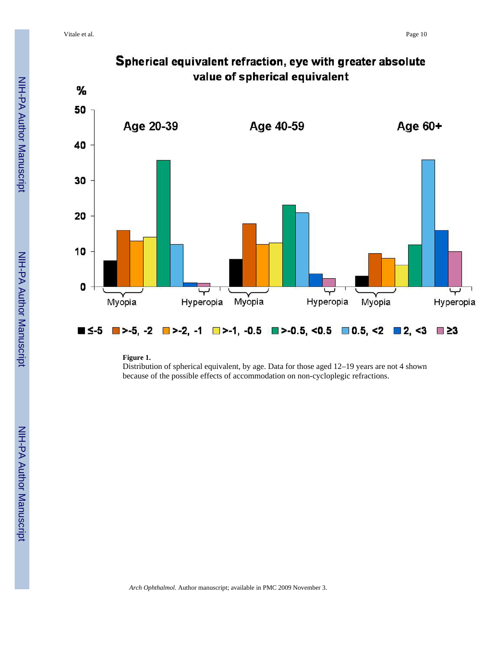

# Spherical equivalent refraction, eye with greater absolute

**Figure 1.**

Distribution of spherical equivalent, by age. Data for those aged 12–19 years are not 4 shown because of the possible effects of accommodation on non-cycloplegic refractions.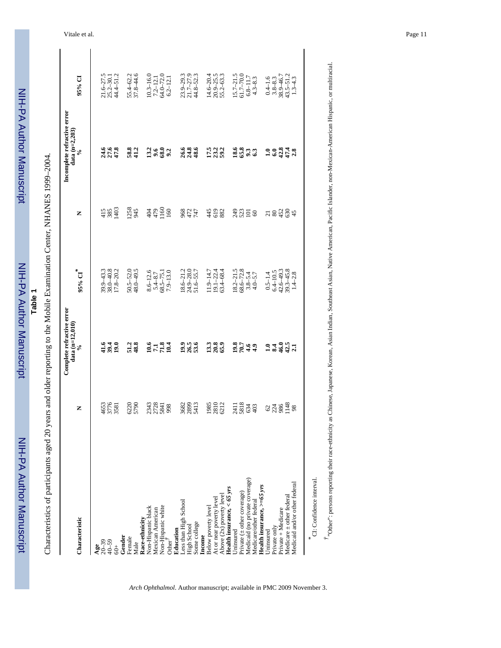| י<br>;<br>; |
|-------------|
|             |
|             |
|             |
|             |
|             |
|             |
|             |
|             |
| ŗ           |
|             |
|             |
|             |
| i           |
| ì           |
|             |
|             |
|             |
|             |
|             |
|             |

ਕੁੰ

**Table 1**

Characteristics of participants aged 20 years and older reporting to the Mobile Examination Center, NHANES 1999-2004. Characteristics of participants aged 20 years and older reporting to the Mobile Examination Center, NHANES 1999–2004.

|                                   |                                      | Complete refractive error       |                                                  |                                                      | Incomplete refractive error    |                                                                          |
|-----------------------------------|--------------------------------------|---------------------------------|--------------------------------------------------|------------------------------------------------------|--------------------------------|--------------------------------------------------------------------------|
| Characteristic                    | Z                                    | data $(n=12,010)$<br>$\epsilon$ | 95% CI <sup>*</sup>                              | z                                                    | data $(n=2,203)$<br>$\sqrt{6}$ | 95% CI                                                                   |
| Age                               |                                      |                                 |                                                  |                                                      |                                |                                                                          |
| $20 - 39$                         |                                      |                                 |                                                  |                                                      |                                |                                                                          |
| $40 - 59$                         |                                      |                                 |                                                  |                                                      |                                |                                                                          |
| $60+$                             | 4653<br>3776<br>3581                 | 939<br>939                      | $39.9 - 43.3$<br>$38.0 - 40.8$<br>$17.8 - 20.2$  | 418<br>88<br>1403                                    | s 9.8<br>A 5 4                 | $\begin{array}{c} 21.6 - 27.5 \\ 25.2 - 30.1 \\ 44.4 - 51.2 \end{array}$ |
| Gender                            |                                      |                                 |                                                  |                                                      |                                |                                                                          |
| Female                            | 6220                                 |                                 |                                                  | 1258                                                 |                                |                                                                          |
| Male                              |                                      | 51.2<br>48.8                    | $50.5 - 52.0$<br>48.0-49.5                       | 945                                                  | 58.8<br>41.2                   | $55.4 - 62.2$<br>$37.8 - 44.6$                                           |
| Race-ethnicity                    |                                      |                                 |                                                  |                                                      |                                |                                                                          |
| Non-Hispanic black                |                                      |                                 | $8.6 - 12.6$                                     |                                                      |                                |                                                                          |
| Mexican American                  | 2343<br>2728<br>5841                 | <b>10.733</b><br>27.731         | $5.4 - 8.7$                                      | 479                                                  | $\frac{13.2}{9.6}$             | $10.3-16.0$<br>$7.2-12.1$<br>$64.0-72.0$                                 |
| Non-Hispanic white                |                                      |                                 | $68.5 - 75.1$                                    | $\frac{160}{160}$                                    |                                |                                                                          |
| Other <sup>1</sup>                | 998                                  |                                 | $7.9 - 13.0$                                     |                                                      | 68.0                           | $6.2 - 12.1$                                                             |
| Education                         |                                      |                                 |                                                  |                                                      |                                |                                                                          |
| Less than High School             | 3682                                 |                                 |                                                  |                                                      |                                |                                                                          |
| High School                       | 2899                                 |                                 | $18.6 - 21.2$<br>$24.9 - 28.0$                   |                                                      |                                |                                                                          |
| Some college                      | 5413                                 | <b>9.5</b><br>26.5<br>53.6      | $51.6 - 55.7$                                    | 254<br>258                                           | $8.86$<br>$8.86$               | $23.9-29.3$<br>$21.7-27.9$<br>$44.8-52.3$                                |
| Income                            |                                      |                                 |                                                  |                                                      |                                |                                                                          |
| Below poverty level               | 1985                                 | 133<br>138                      | $11.9 - 14.7$                                    |                                                      | 1733<br>1893                   | $14.6 - 20.4$<br>$20.9 - 25.5$<br>$55.2 - 63.3$                          |
| At or near poverty level          | 2810                                 |                                 | $19.1 - 22.4$                                    | 4282                                                 |                                |                                                                          |
| Above (2x) poverty level          | 6212                                 |                                 | $63.4 - 68.4$                                    |                                                      |                                |                                                                          |
| Health insurance, $<$ 65 yrs      |                                      |                                 |                                                  |                                                      |                                |                                                                          |
| Uninsured                         | $\frac{241}{388}$<br>$\frac{83}{49}$ | <b>2243</b><br>2244             | $18.2 - 21.5$<br>68.6-72.8<br>3.8-5.4<br>4.0-5.7 | $\begin{array}{c} 2 \\ 3 \\ 2 \\ 3 \\ 4 \end{array}$ | <b>18833</b>                   | $15.7 - 21.5$<br>61.7-70.0                                               |
| Private $($ $\pm$ other coverage) |                                      |                                 |                                                  |                                                      |                                |                                                                          |
| Medicaid (no private coverage)    |                                      |                                 |                                                  |                                                      |                                | $6.8 - 11.7$                                                             |
| Medicare/other federal            |                                      |                                 |                                                  |                                                      |                                | $4.3 - 8.3$                                                              |
| Health insurance, $> = 65$ yrs    |                                      |                                 |                                                  |                                                      |                                |                                                                          |
| Uninsured                         |                                      |                                 | $0.5 - 1.4$                                      |                                                      |                                | $0.4 - 1.6$                                                              |
| Private only                      | 888                                  | $-3.3441$                       | $6.4 - 10.5$                                     | <u>ដនដូន</u> ិង                                      | 1994728                        | $3.8 - 8.3$<br>$38.9 - 46.7$                                             |
| Private + Medicare                |                                      |                                 |                                                  |                                                      |                                |                                                                          |
| Medicare ± other federal          | 1148                                 |                                 |                                                  |                                                      |                                |                                                                          |
| Medicaid and/or other federal     | 98                                   |                                 | $42.6 - 49.3$<br>39.3-45.8<br>1.4-2.8            |                                                      |                                | $43.5 - 51.2$<br>1.3-4.3                                                 |
| ¥                                 |                                      |                                 |                                                  |                                                      |                                |                                                                          |
|                                   |                                      |                                 |                                                  |                                                      |                                |                                                                          |

*Arch Ophthalmol*. Author manuscript; available in PMC 2009 November 3.

CI: Confidence interval. CI: Confidence interval.

<sup>2</sup> "Other": persons reporting their race-ethnicity as Chinese, Japanese, Korean, Asian Indian, Southeast Asian, Native American, Pacific Islander, non-Mexican-American Hispanic, or multiracial. *†*"Other": persons reporting their race-ethnicity as Chinese, Japanese, Korean, Asian Indian, Southeast Asian, Native American, Pacific Islander, non-Mexican-American Hispanic, or multiracial.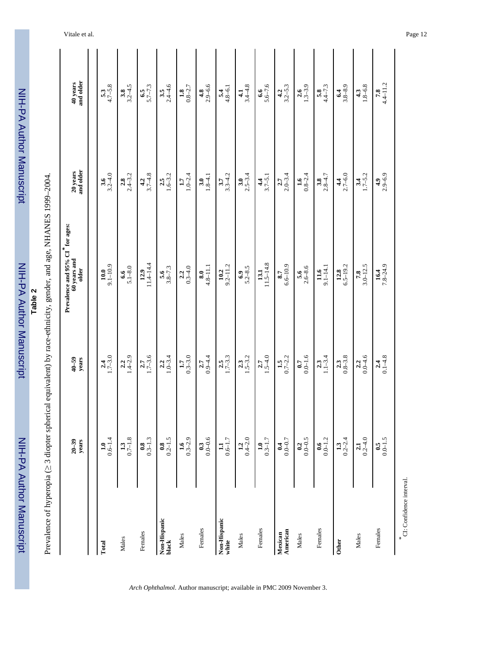| ا<br>استقلال<br>ا      |
|------------------------|
|                        |
|                        |
|                        |
| <b>Service Service</b> |
|                        |
|                        |
|                        |
| Ē                      |
|                        |
| <u>:</u>               |
|                        |
|                        |
|                        |
|                        |
|                        |
|                        |
| i                      |
|                        |
|                        |
|                        |
|                        |

Prevalence of hyperopia (

≥ 3 diopter spherical equivalent) by race-ethnicity, gender, and age, NHANES 1999–2004.

Prevalence of hyperopia (≥ 3 diopter spherical equivalent) by race-ethnicity, gender, and age, NHANES 1999-2004.

Vitale et al. Page 12

|                               | $20 - 39$<br>years      | $40 - 59$<br>years      | Prevalence and 95% CI <sup>*</sup> for ages:<br>$60$ years and<br>older | 20 years<br>and older   | 40 years<br>and older   |
|-------------------------------|-------------------------|-------------------------|-------------------------------------------------------------------------|-------------------------|-------------------------|
|                               |                         |                         |                                                                         |                         |                         |
| Total                         | $0.6 - 1.4$<br>1.0      | $1.7 - 3.0$             | $10.0$<br>9.1-10.9                                                      | $3.2 - 4.0$             | $5.3$<br>4.7–5.8        |
| Males                         | $\frac{1.3}{0.7-1.8}$   | $2.2$<br>1.4-2.9        | $5.1 - 8.0$<br>6.6                                                      | $2.8$<br>$2.4 - 3.2$    | $3.2 - 4.5$             |
| Females                       | $\frac{0.8}{0.3-1.3}$   | $\frac{2.7}{1.7-3.6}$   | $12.9$<br>11.4–14.4                                                     | $3.7 - 4.8$             | $6.5 - 7.3$             |
| Non-Hispanic<br>black         | $\frac{0.8}{0.2 - 1.5}$ | $1.0 - 3.4$             | $\frac{5.6}{3.8-7.3}$                                                   | $2.5$<br>1.6–3.2        | $3.5$<br>2.4–4.6        |
| Males                         | $1.6$<br>0.3-2.9        | $1.7$<br>0.3-3.0        | $0.3 - 4.0$<br>2.2                                                      | $1.0 - 2.4$             | $\frac{1.8}{0.8-2.7}$   |
| Females                       | $0.0 - 0.6$             | $\frac{2.7}{0.9-4.4}$   | $\frac{8.0}{4.8-11.1}$                                                  | $\frac{3.0}{1.8-4.1}$   | $4.8$<br>2.9-6.6        |
| Non-Hispanic<br>white         | $1.1$<br>0.6–1.7        | $2.5$<br>1.7-3.3        | $\frac{10.2}{9.2 - 11.2}$                                               | $3.3 - 4.2$             | $5.4$<br>$4.8 - 6.1$    |
| Males                         | $1.2$<br>0.4–2.0        | $2.3$<br>1.5–3.2        | $\frac{6.9}{5.2 - 8.5}$                                                 | $\frac{3.0}{2.5 - 3.4}$ | $4.1$<br>3.4–4.8        |
| Females                       | $1.0$<br>0.3-1.7        | $2.7$<br>1.5–4.0        | $11.5 - 14.8$<br>13.1                                                   | $\frac{4.4}{3.7 - 5.1}$ | $5.6 - 7.6$<br>6.6      |
| American<br>Mexican           | $0.04$<br>$0.0 - 0.7$   | $1.5$<br>0.7-2.2        | $6.6 - 10.9$<br>8.7                                                     | $2.0 - 3.4$             | $\frac{4.2}{3.2 - 5.3}$ |
| Males                         | $\frac{0.2}{0.0 - 0.5}$ | $0.07$<br>$0.0 - 1.6$   | $\frac{5.6}{2.6 - 8.6}$                                                 | $\frac{1.6}{0.8-2.4}$   | $2.6$<br>1.3–3.9        |
| Females                       | $\frac{0.6}{0.0 - 1.2}$ | $2.3$<br>1.1-3.4        | $9.1 - 14.1$<br>11.6                                                    | $3.8$<br>$2.8 - 1.7$    | $5.8$<br>4.4–7.3        |
| <b>Other</b>                  | $1.3$<br>$0.2 - 2.4$    | $\frac{2.3}{0.8-3.8}$   | $6.5 - 19.2$<br>12.8                                                    | $4.4$<br>2.7-6.0        | $3.8 - 8.9$<br>6.4      |
| Males                         | $\frac{2.1}{0.2-4.0}$   | $\frac{2.2}{0.0 - 4.6}$ | $3.0 - 12.5$<br>7.8                                                     | $3.4$<br>1.7–5.2        | $1.8 - 6.8$             |
| Females                       | $0.0 - 1.5$             | $2.4$<br>0.1–4.8        | $\frac{16.4}{7.8-24.9}$                                                 | $4.9$<br>2.9-6.9        | $7.8$<br>4.4-11.2       |
| *<br>CI: Confidence interval. |                         |                         |                                                                         |                         |                         |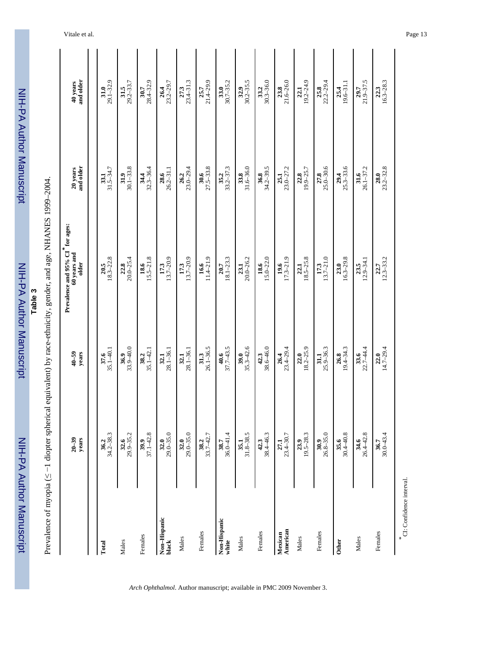| $34.2 - 38.3$<br>$32.6$<br>29.9–35.2<br>$37.1 - 42.8$<br>$29.0 - 35.0$<br>$29.0 - 35.0$<br>$36.0 - 41.4$<br>$31.8 - 38.5$<br>38.4-46.3<br>$23.4 - 30.7$<br>$33.7 - 42.7$<br>$20 - 39$<br>years<br>32.0<br>32.0<br>42.3<br>38.7<br>35.1<br>Non-Hispanic<br>Non-Hispanic<br>American<br>Females<br>Females<br>Mexican<br>Females<br>Males<br>Males<br>white<br>Males<br>black<br>Total | $33.9 - 40.0$<br>$\frac{37.6}{35.1 - 40.1}$<br>$28.1 - 36.1$<br>$28.1 - 36.1$<br>$35.1 - 42.1$<br>$40-59$<br>years<br>31.3<br>38.2<br>32.1<br>32.1 | Prevalence and 95% CI <sup>*</sup> for ages:<br>60 years and<br>$20.5$<br>$18.3 - 22.8$<br>$20.0 - 25.4$<br>$18.6$<br>$15.5-21.8$<br>$13.7 - 20.9$<br>$13.7 - 20.9$<br>older | 20 years<br>and older<br>$\frac{31.9}{30.1-33.8}$<br>$32.3 - 36.4$<br>$31.5 - 34.7$<br>33.1 | 40 years<br>and older      |
|--------------------------------------------------------------------------------------------------------------------------------------------------------------------------------------------------------------------------------------------------------------------------------------------------------------------------------------------------------------------------------------|----------------------------------------------------------------------------------------------------------------------------------------------------|------------------------------------------------------------------------------------------------------------------------------------------------------------------------------|---------------------------------------------------------------------------------------------|----------------------------|
|                                                                                                                                                                                                                                                                                                                                                                                      |                                                                                                                                                    |                                                                                                                                                                              |                                                                                             |                            |
|                                                                                                                                                                                                                                                                                                                                                                                      |                                                                                                                                                    |                                                                                                                                                                              |                                                                                             | $29.1 - 32.9$<br>31.0      |
|                                                                                                                                                                                                                                                                                                                                                                                      |                                                                                                                                                    |                                                                                                                                                                              |                                                                                             | $\frac{31.5}{29.2-33.7}$   |
|                                                                                                                                                                                                                                                                                                                                                                                      |                                                                                                                                                    |                                                                                                                                                                              |                                                                                             | $\frac{30.7}{28.4-32.9}$   |
|                                                                                                                                                                                                                                                                                                                                                                                      |                                                                                                                                                    |                                                                                                                                                                              | $\frac{28.6}{26.2 - 31.1}$                                                                  | $23.2 - 29.7$              |
|                                                                                                                                                                                                                                                                                                                                                                                      |                                                                                                                                                    |                                                                                                                                                                              | $23.0 - 29.4$<br>26.2                                                                       | $27.3$<br>$23.4-31.3$      |
|                                                                                                                                                                                                                                                                                                                                                                                      | $26.1 - 36.5$                                                                                                                                      | $11.4 - 21.9$<br>16.6                                                                                                                                                        | $\frac{30.6}{27.5-33.8}$                                                                    | $21.4 - 29.9$              |
|                                                                                                                                                                                                                                                                                                                                                                                      | $37.7 - 43.5$<br>40.6                                                                                                                              | $18.1 - 23.3$<br>20.7                                                                                                                                                        | $33.2 - 37.3$                                                                               | $30.7 - 35.2$<br>33.0      |
|                                                                                                                                                                                                                                                                                                                                                                                      | $35.3 - 42.6$<br>39.0                                                                                                                              | $20.0 - 26.2$<br>23.1                                                                                                                                                        | $31.6 - 36.0$                                                                               | $30.2 - 35.5$<br>32.9      |
|                                                                                                                                                                                                                                                                                                                                                                                      | 38.6-46.0<br>42.3                                                                                                                                  | $15.0 - 22.0$<br>18.6                                                                                                                                                        | 34.2-39.5<br>36.8                                                                           | $30.3 - 36.0$<br>33.2      |
|                                                                                                                                                                                                                                                                                                                                                                                      | $23.4 - 29.4$                                                                                                                                      | $17.3 - 21.9$<br>19.6                                                                                                                                                        | $23.0 - 27.2$<br>25.1                                                                       | $\frac{23.8}{21.6-26.0}$   |
| $23.9$<br>19.5-28.3<br>Males                                                                                                                                                                                                                                                                                                                                                         | $\frac{22.0}{18.2 - 25.9}$                                                                                                                         | $18.5 - 25.8$<br>22.1                                                                                                                                                        | $\frac{22.8}{19.9 - 25.7}$                                                                  | $\frac{22.1}{19.2 - 24.9}$ |
| $\frac{30.9}{26.8-35.0}$<br>Females                                                                                                                                                                                                                                                                                                                                                  | $25.9 - 36.3$<br>31.1                                                                                                                              | $\frac{17.3}{13.7-21.0}$                                                                                                                                                     | $25.0 - 30.6$                                                                               | $22.2 - 29.4$              |
| $30.4 - 40.8$<br>35.6<br>Other                                                                                                                                                                                                                                                                                                                                                       | $\frac{26.8}{19.4 - 34.3}$                                                                                                                         | $16.3 - 29.8$<br>23.0                                                                                                                                                        | $25.3 - 33.6$<br>29.4                                                                       | $19.6 - 31.1$<br>25.4      |
| $26.4 - 42.8$<br>34.6<br>Males                                                                                                                                                                                                                                                                                                                                                       | 22.7-44.4<br>33.6                                                                                                                                  | $12.9 - 34.1$<br>23.5                                                                                                                                                        | $26.1 - 37.2$<br>31.6                                                                       | $21.9 - 37.5$<br>29.7      |
| $30.0 - 43.4$<br>36.7<br>Females                                                                                                                                                                                                                                                                                                                                                     | $22.0$<br>14.7-29.4                                                                                                                                | $12.3 - 33.2$<br>22.7                                                                                                                                                        | $\frac{28.0}{23.2 - 32.8}$                                                                  | $16.3 - 28.3$<br>22.3      |

*Arch Ophthalmol*. Author manuscript; available in PMC 2009 November 3.

NIH-PA Author Manuscript NIH-PA Author Manuscript

 NIH-PA Author Manuscript**E** alger Manuscript<br>NIH-PA Author Manuscript

CI: Confidence interval. CI: Confidence interval.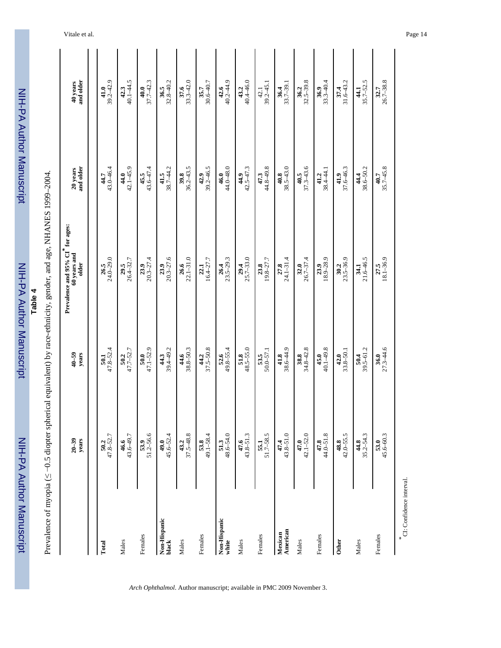| ∩ווו∩ |
|-------|
|       |
|       |
|       |
|       |
|       |
|       |
|       |
|       |
|       |
|       |
|       |
|       |
| Ì     |
|       |
|       |
|       |
| b     |
|       |
| í     |
|       |
|       |
|       |
|       |
|       |
|       |
|       |
|       |

Prevalence of myopia ( Prevalence of myopia (≤ -0.5 diopter spherical equivalent) by race-ethnicity, gender, and age, NHANES 1999-2004. −0.5 diopter spherical equivalent) by race-ethnicity, gender, and age, NHANES 1999–2004.

|                                    | $20 - 39$<br>years         | $40 - 59$<br>years         | Prevalence and $95\%$ C1 $^{*}$ for ages:<br>$60$ years and<br>older | 20 years<br>and older      | and older<br>40 years    |
|------------------------------------|----------------------------|----------------------------|----------------------------------------------------------------------|----------------------------|--------------------------|
| Total                              | 47.8-52.7<br>50.2          | $47.8 - 52.4$<br>50.1      | $24.0 - 29.0$<br>26.5                                                | 43.0-46.4<br>44.7          | $39.2 - 42.9$<br>41.0    |
| Males                              | 43.6-49.7<br>46.6          | $47.7 - 52.7$<br>50.2      | $26.4 - 32.7$<br>29.5                                                | $42.1 - 45.9$<br>44.0      | $40.1 - 44.5$<br>42.3    |
| Females                            | $51.2 - 56.6$              | $47.1 - 52.9$<br>50.0      | $20.3 - 27.4$<br>23.9                                                | 45.5<br>$43.6 - 47.4$      | 37.7-42.3<br>40.0        |
| Non-Hispanic<br>black              | 45.6–52.4                  | $44.3$<br>39.4–49.2        | $23.9$<br>$20.3 - 27.6$                                              | $\frac{41.5}{38.7 - 44.2}$ | $\frac{36.5}{32.8-40.2}$ |
| Males                              | $43.2$<br>37.5–48.8        | $38.8 - 50.3$<br>44.6      | $22.1 - 31.0$<br>26.6                                                | $36.2 - 43.5$<br>39.8      | $33.3 - 42.0$<br>37.6    |
| Females                            | $49.1 - 58.4$<br>53.8      | $37.5 - 50.8$<br>44.2      | $16.4 - 27.7$<br>22.1                                                | $39.2 - 46.5$<br>42.9      | 30.6-40.7<br>35.7        |
| Non-Hispanic<br>white              | 48.6-54.0<br>51.3          | $49.8 - 55.4$<br>52.6      | $23.5 - 29.3$<br>26.4                                                | $44.0 - 48.0$<br>46.0      | $40.2 - 44.9$<br>42.6    |
| Males                              | $43.8 - 51.3$<br>47.6      | $\frac{51.8}{48.5-55.0}$   | $25.7 - 33.0$<br>29.4                                                | $42.5 - 47.3$<br>44.9      | $40.4 - 46.0$<br>43.2    |
| Females                            | $51.7 - 58.5$<br>55.1      | $\frac{53.5}{50.0 - 57.1}$ | 19.8-27.7<br>23.8                                                    | 47.3<br>44.8–49.8          | $39.2 - 45.1$<br>42.1    |
| American<br>Mexican                | $43.8 - 51.0$<br>47.4      | 38.6-44.9<br>41.8          | $24.1 - 31.4$<br>27.8                                                | $38.5 - 43.0$<br>40.8      | $33.7 - 39.1$<br>36.4    |
| Males                              | $42.1 - 52.0$<br>47.0      | $34.8 - 42.8$<br>38.8      | $26.7 - 37.4$<br>32.0                                                | $37.3 - 43.6$<br>40.5      | $32.5 - 39.8$<br>36.2    |
| Females                            | $44.0 - 51.8$<br>47.8      | $40.1 - 49.8$<br>45.0      | $18.9 - 28.9$<br>23.9                                                | 38.4-44.1<br>41.2          | $33.3 - 40.4$<br>36.9    |
| <b>Other</b>                       | $42.0 - 55.5$<br>48.8      | $33.8 - 50.1$<br>42.0      | $23.5 - 36.9$<br>30.2                                                | 37.6-46.3<br>41.9          | $31.6 - 43.2$<br>37.4    |
| Males                              | $44.8$<br>35.2–54.3        | $\frac{50.4}{39.5 - 61.2}$ | $21.6 - 46.5$<br>34.1                                                | $44.4$<br>38.6–50.2        | $35.7 - 52.5$<br>44.1    |
| Females                            | $\frac{53.0}{45.6 - 60.3}$ | $\frac{36.0}{27.3-44.6}$   | $\frac{27.5}{18.1-36.9}$                                             | $\frac{40.7}{35.7 - 45.8}$ | $\frac{32.7}{26.7-38.8}$ |
| CI: Confidence interval.<br>$\ast$ |                            |                            |                                                                      |                            |                          |

Vitale et al. Page 14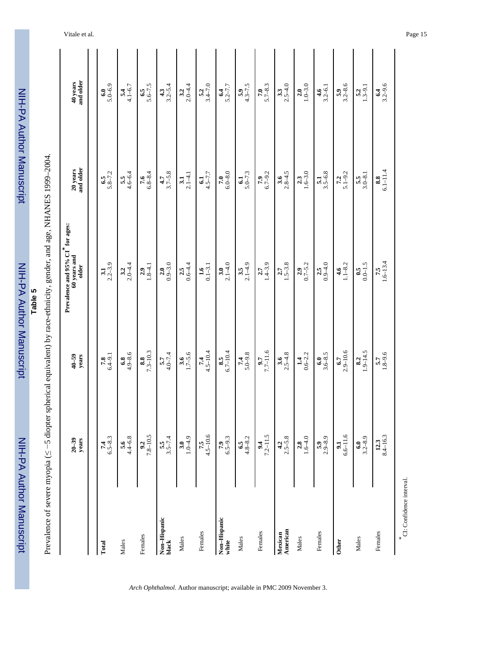| .<br>.<br>.<br>.<br>. |
|-----------------------|
|                       |
|                       |
|                       |
|                       |
| <u>י המונחות ה</u>    |
|                       |
|                       |
|                       |
|                       |

| L<br>N<br>N<br>N<br>-<br>-<br>-<br>-<br>$\overline{\phantom{a}}$<br>$25 - 12 = 12$<br>$\ddot{\phantom{0}}$<br>コート・リー・シー<br>$-16.1$<br>てなら ならてならと こねこく<br>$\sim$ $\sim$<br>くしゅうきょく<br>i<br>$\sim$ myonia $\ll -5$ diontor $\sim$<br>֖֖֖֪ׅ֪ׅׅׅׅׅ֪ׅ֪ׅ֚֚֚֚֚֚֚֚֚֚֚֚֚֡֝֝֝֝֬֝֬֝֬֝֬֝֬֝֬֝֬<br>$\frac{1}{2}$<br>֖֖֧֧ׅ֧ׅ֧֧ׅ֧֚֚֚֚֚֚֚֚֚֚֚֚֚֚֚֚֚֚֚֚֚֚֚֚֚֡֝֓֡֝֬֜֓֡֞֝֬֜<br>I<br>Ï<br>Ï<br>$\frac{1}{2}$ |
|-----------------------------------------------------------------------------------------------------------------------------------------------------------------------------------------------------------------------------------------------------------------------------------------------------------------------------------------------------------------------------------------|
|                                                                                                                                                                                                                                                                                                                                                                                         |
|                                                                                                                                                                                                                                                                                                                                                                                         |
|                                                                                                                                                                                                                                                                                                                                                                                         |

|                                    |                         |                         | Prevalence and 95% CI <sup>*</sup> for ages: |                         |                         |  |
|------------------------------------|-------------------------|-------------------------|----------------------------------------------|-------------------------|-------------------------|--|
|                                    | $20 - 39$<br>years      | $40 - 59$<br>years      | 60 years and<br>older                        | 20 years<br>and older   | 40 years<br>and older   |  |
| Total                              |                         |                         |                                              |                         |                         |  |
|                                    | $7.4$<br>6.5-8.3        | $7.8$<br>6.4-9.1        | $3.1$<br>$2.2 - 3.9$                         | $6.5$<br>5.8-7.2        | $6.0$<br>5.0-6.9        |  |
| Males                              | $\frac{5.6}{4.4 - 6.8}$ | $6.8$<br>4.9-8.6        | $3.2$<br>$2.0 - 4.4$                         | $\frac{5.5}{4.6 - 6.4}$ | $5.4$<br>4.1-6.7        |  |
| Females                            | $7.8 - 10.5$            | $7.3 - 10.3$            | $\frac{2.9}{1.8-4.1}$                        | $7.6$<br>$6.8 - 8.4$    | $6.5$<br>5.6–7.5        |  |
| Non-Hispanic<br>black              | $3.5-7.4$               | $\frac{5.7}{4.0 - 7.4}$ | $\frac{2.0}{0.9-3.0}$                        | $\frac{47}{3.7-5.8}$    | $\frac{4.3}{3.2 - 5.4}$ |  |
| Males                              | $3.0$<br>1.0–4.9        | $\frac{3.6}{1.7 - 5.6}$ | $\frac{2.5}{0.6 - 4.4}$                      | $3.1$<br>$2.1 - 4.1$    | $3.2$<br>$2.0 - 4.4$    |  |
| Females                            | $7.5$<br>4.5-10.6       | $7.4$<br>4.5-10.4       | $\frac{1.6}{0.1 - 3.1}$                      | $6.1$<br>4.5-7.7        | $5.2$<br>$3.4 - 7.0$    |  |
| Non-Hispanic<br>white              | $7.9$<br>$6.5 - 9.3$    | $\frac{8.5}{6.7-10.4}$  | $\frac{3.0}{2.1 - 4.0}$                      | $7.0$<br>$6.0 - 8.0$    | $\frac{6.4}{5.2 - 7.7}$ |  |
| Males                              | $6.5$<br>4.8-8.2        | $5.0 - 9.8$             | $\frac{3.5}{2.1-4.9}$                        | $\frac{61}{5.0 - 7.3}$  | $5.9$<br>4.3–7.5        |  |
| Females                            | $7.2 - 11.5$            | $7.7 - 11.6$            | $2.7$<br>1.4–3.9                             | $7.9$<br>6.7-9.2        | $\frac{7.0}{5.7 - 8.3}$ |  |
| American<br>Mexican                | $4.2$<br>$2.5 - 5.8$    | $3.6$<br>$2.5 - 4.8$    | $2.7$<br>1.5-3.8                             | $\frac{3.6}{2.8-4.5}$   | $3.3$<br>$2.5 - 4.0$    |  |
| Males                              | $2.8$<br>1.6–4.0        | $1.4$<br>$0.6 - 2.2$    | $\frac{2.9}{0.7 - 5.2}$                      | $1.6 - 3.0$             | $2.0$<br>1.0-3.0        |  |
| Females                            | $\frac{5.9}{2.9 - 8.9}$ | $3.6 - 8.5$<br>6.0      | $\frac{2.5}{0.9-4.0}$                        | $\frac{5.1}{3.5 - 6.8}$ | $\frac{4.6}{3.2 - 6.1}$ |  |
| Other                              | $6.6 - 11.6$<br>9.1     | $2.9 - 10.6$<br>6.7     | $1.1 - 8.2$<br>4.6                           | $\frac{7.2}{5.1 - 9.2}$ | $\frac{5.9}{3.2 - 8.6}$ |  |
| Males                              | $3.2 - 8.9$<br>6.0      | $1.9 - 14.5$<br>8.2     | $0.0 - 1.5$<br>$\ddot{0}$ .5                 | $\frac{5.5}{3.0 - 8.1}$ | $\frac{5.2}{1.3 - 9.1}$ |  |
| Females                            | $8.4 - 16.3$<br>12.3    | $\frac{5.7}{1.8 - 9.6}$ | $7.5$<br>1.6–13.4                            | $8.8$<br>$6.1 - 11.4$   | $6.4$<br>3.2-9.6        |  |
| CI: Confidence interval.<br>$\ast$ |                         |                         |                                              |                         |                         |  |